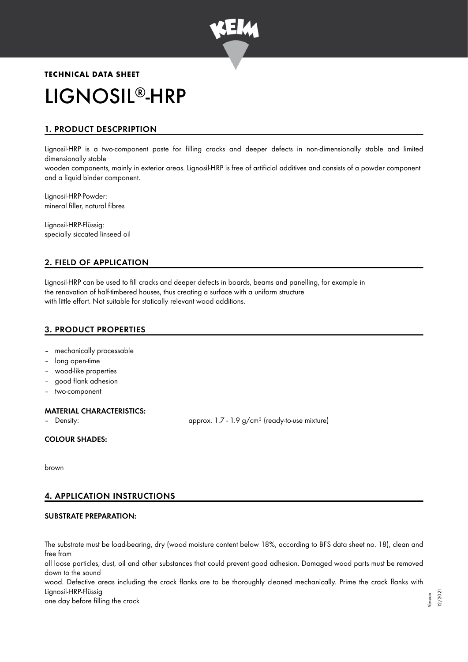

# **TECHNICAL DATA SHEET** LIGNOSIL®-HRP

# 1. PRODUCT DESCPRIPTION

Lignosil-HRP is a two-component paste for filling cracks and deeper defects in non-dimensionally stable and limited dimensionally stable

wooden components, mainly in exterior areas. Lignosil-HRP is free of artificial additives and consists of a powder component and a liquid binder component.

Lignosil-HRP-Powder: mineral filler, natural fibres

Lignosil-HRP-Flüssig: specially siccated linseed oil

# 2. FIELD OF APPLICATION

Lignosil-HRP can be used to fill cracks and deeper defects in boards, beams and panelling, for example in the renovation of half-timbered houses, thus creating a surface with a uniform structure with little effort. Not suitable for statically relevant wood additions.

# 3. PRODUCT PROPERTIES

- mechanically processable
- long open-time
- wood-like properties
- good flank adhesion
- two-component

# MATERIAL CHARACTERISTICS:

Density: **approx.** 1.7 - 1.9 g/cm<sup>3</sup> (ready-to-use mixture)

COLOUR SHADES:

brown

# 4. APPLICATION INSTRUCTIONS

# SUBSTRATE PREPARATION:

The substrate must be load-bearing, dry (wood moisture content below 18%, according to BFS data sheet no. 18), clean and free from all loose particles, dust, oil and other substances that could prevent good adhesion. Damaged wood parts must be removed down to the sound wood. Defective areas including the crack flanks are to be thoroughly cleaned mechanically. Prime the crack flanks with Lignosil-HRP-Flüssig one day before filling the crack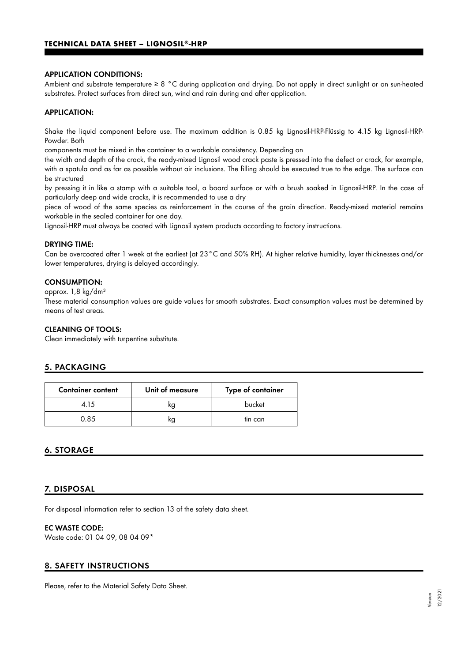#### APPLICATION CONDITIONS:

Ambient and substrate temperature ≥ 8 °C during application and drying. Do not apply in direct sunlight or on sun-heated substrates. Protect surfaces from direct sun, wind and rain during and after application.

### APPLICATION:

Shake the liquid component before use. The maximum addition is 0.85 kg Lignosil-HRP-Flüssig to 4.15 kg Lignosil-HRP-Powder. Both

components must be mixed in the container to a workable consistency. Depending on

the width and depth of the crack, the ready-mixed Lignosil wood crack paste is pressed into the defect or crack, for example, with a spatula and as far as possible without air inclusions. The filling should be executed true to the edge. The surface can be structured

by pressing it in like a stamp with a suitable tool, a board surface or with a brush soaked in Lignosil-HRP. In the case of particularly deep and wide cracks, it is recommended to use a dry

piece of wood of the same species as reinforcement in the course of the grain direction. Ready-mixed material remains workable in the sealed container for one day.

Lignosil-HRP must always be coated with Lignosil system products according to factory instructions.

#### DRYING TIME:

Can be overcoated after 1 week at the earliest (at 23°C and 50% RH). At higher relative humidity, layer thicknesses and/or lower temperatures, drying is delayed accordingly.

#### CONSUMPTION:

approx. 1,8 kg/dm³

These material consumption values are guide values for smooth substrates. Exact consumption values must be determined by means of test areas.

#### CLEANING OF TOOLS:

Clean immediately with turpentine substitute.

# 5. PACKAGING

| <b>Container content</b> | Unit of measure | Type of container |
|--------------------------|-----------------|-------------------|
| 4 15                     | kg              | bucket            |
| 0.85                     | kg              | tin can           |

# 6. STORAGE

#### 7. DISPOSAL

For disposal information refer to section 13 of the safety data sheet.

#### EC WASTE CODE:

Waste code: 01 04 09, 08 04 09\*

# 8. SAFETY INSTRUCTIONS

Please, refer to the Material Safety Data Sheet.